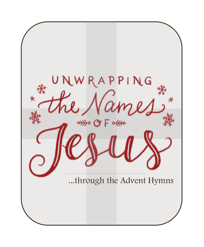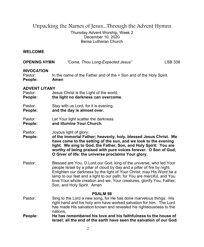# Unpacking the Names of Jesus...Through the Advent Hymns

Thursday Advent Worship, Week 2 December 10, 2020 Berea Lutheran Church

# **WELCOME**

| <b>OPENING HYMN</b>                        | "Come, Thou Long-Expected Jesus"                                                                                                                                                                                                                                                                                                                                                                           | <b>LSB 338</b> |
|--------------------------------------------|------------------------------------------------------------------------------------------------------------------------------------------------------------------------------------------------------------------------------------------------------------------------------------------------------------------------------------------------------------------------------------------------------------|----------------|
| <b>INVOCATION</b><br>Pastor:<br>People:    | In the name of the Father and of the $+$ Son and of the Holy Spirit.<br>Amen                                                                                                                                                                                                                                                                                                                               |                |
| <b>ADVENT LITANY</b><br>Pastor:<br>People: | Jesus Christ is the Light of the world,<br>the light no darkness can overcome.                                                                                                                                                                                                                                                                                                                             |                |
| Pastor:<br>People:                         | Stay with us Lord, for it is evening,<br>and the day is almost over.                                                                                                                                                                                                                                                                                                                                       |                |
| Pastor:<br>People:                         | Let Your light scatter the darkness<br>and illumine Your Church.                                                                                                                                                                                                                                                                                                                                           |                |
| Pastor:<br>People:                         | Joyous light of glory:<br>of the immortal Father; heavenly, holy, blessed Jesus Christ. We<br>have come to the setting of the sun, and we look to the evening<br>light. We sing to God, the Father, Son, and Holy Spirit: You are<br>worthy of being praised with pure voices forever. O Son of God,<br>O Giver of life: the universe proclaims Your glory.                                                |                |
| Pastor:                                    | Blessed are You, O Lord our God, king of the universe, who led Your<br>people Israel by a pillar of cloud by day and a pillar of fire by night.<br>Enlighten our darkness by the light of Your Christ; may His Word be a<br>lamp to our feet and a light to our path; for You are merciful, and You<br>love Your whole creation and we, Your creatures, glorify You, Father,<br>Son, and Holy Spirit. Amen |                |
| Pastor:                                    | <b>PSALM 98</b><br>Sing to the Lord a new song, for He has done marvelous things; His<br>right hand and his holy arm have worked salvation for him. The Lord<br>has made His salvation known and revealed his righteousness to the<br>nations.                                                                                                                                                             |                |
| People:                                    | He has remembered his love and his faithfulness to the house of<br>Israel; all the end of the earth have seen the salvation of our God.                                                                                                                                                                                                                                                                    |                |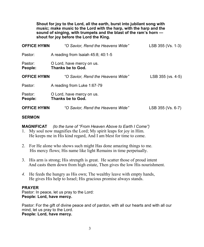**Shout for joy to the Lord, all the earth, burst into jubilant song with music; make music to the Lord with the harp, with the harp and the sound of singing, with trumpets and the blast of the ram's horn shout for joy before the Lord the King.** 

| <b>OFFICE HYMN</b> | "O Savior, Rend the Heavens Wide"              | LSB 355 (Vs. 1-3) |
|--------------------|------------------------------------------------|-------------------|
| Pastor:            | A reading from Isaiah $45:8$ ; $40:1-5$        |                   |
| Pastor:<br>People: | O Lord, have mercy on us.<br>Thanks be to God. |                   |
| <b>OFFICE HYMN</b> | "O Savior, Rend the Heavens Wide"              | LSB 355 (vs. 4-5) |
| Pastor:            | A reading from Luke 1:67-79                    |                   |
| Pastor:<br>People: | O Lord, have mercy on us.<br>Thanks be to God. |                   |
| <b>OFFICE HYMN</b> | "O Savior, Rend the Heavens Wide"              | LSB 355 (Vs. 6-7) |

# **SERMON**

**MAGNIFICAT** *(to the tune of "From Heaven Above to Earth I Come")*

- 1. My soul now magnifies the Lord; My spirit leaps for joy in Him. He keeps me in His kind regard, And I am blest for time to come.
- 2. For He alone who shows such might Has done amazing things to me. His mercy flows; His name like light Remains in time perpetually.
- 3. His arm is strong; His strength is great. He scatter those of proud intent And casts them down from high estate, Then gives the low His nourishment.
- *4.* He feeds the hungry as His own; The wealthy leave with empty hands, He gives His help to Israel; His gracious promise always stands.

# **PRAYER**

Pastor: In peace, let us pray to the Lord: **People: Lord, have mercy.**

Pastor: For the gift of divine peace and of pardon, with all our hearts and with all our mind, let us pray to the Lord. **People: Lord, have mercy.**